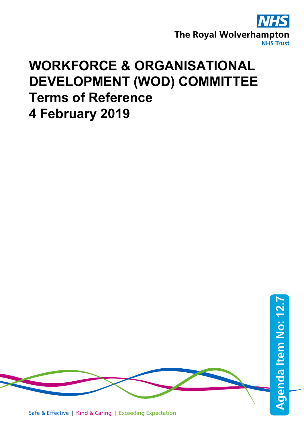

## **WORKFORCE & ORGANISATIONAL DEVELOPMENT (WOD) COMMITTEE Terms of Reference 4 February 2019**

Safe & Effective | Kind & Caring | Exceeding Expectation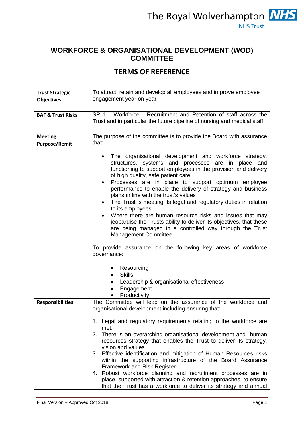## **WORKFORCE & ORGANISATIONAL DEVELOPMENT (WOD) COMMITTEE**

## **TERMS OF REFERENCE**

| <b>Trust Strategic</b><br><b>Objectives</b> | To attract, retain and develop all employees and improve employee<br>engagement year on year                                                                                                                                                                                                                                                                                                                                                                                                                                                                                                                                                                                                                                                                                                                                                                                                        |
|---------------------------------------------|-----------------------------------------------------------------------------------------------------------------------------------------------------------------------------------------------------------------------------------------------------------------------------------------------------------------------------------------------------------------------------------------------------------------------------------------------------------------------------------------------------------------------------------------------------------------------------------------------------------------------------------------------------------------------------------------------------------------------------------------------------------------------------------------------------------------------------------------------------------------------------------------------------|
| <b>BAF &amp; Trust Risks</b>                | SR 1 - Workforce - Recruitment and Retention of staff across the<br>Trust and in particular the future pipeline of nursing and medical staff.                                                                                                                                                                                                                                                                                                                                                                                                                                                                                                                                                                                                                                                                                                                                                       |
| <b>Meeting</b><br><b>Purpose/Remit</b>      | The purpose of the committee is to provide the Board with assurance<br>that:                                                                                                                                                                                                                                                                                                                                                                                                                                                                                                                                                                                                                                                                                                                                                                                                                        |
|                                             | The organisational development and workforce strategy,<br>structures, systems and processes are in place and<br>functioning to support employees in the provision and delivery<br>of high quality, safe patient care<br>Processes are in place to support optimum employee<br>$\bullet$<br>performance to enable the delivery of strategy and business<br>plans in line with the trust's values<br>The Trust is meeting its legal and regulatory duties in relation<br>$\bullet$<br>to its employees<br>Where there are human resource risks and issues that may<br>$\bullet$<br>jeopardise the Trusts ability to deliver its objectives, that these<br>are being managed in a controlled way through the Trust<br>Management Committee.<br>To provide assurance on the following key areas of workforce<br>governance:<br>Resourcing<br><b>Skills</b><br>Leadership & organisational effectiveness |
|                                             | Engagement.<br>Productivity                                                                                                                                                                                                                                                                                                                                                                                                                                                                                                                                                                                                                                                                                                                                                                                                                                                                         |
| <b>Responsibilities</b>                     | The Committee will lead on the assurance of the workforce and<br>organisational development including ensuring that:                                                                                                                                                                                                                                                                                                                                                                                                                                                                                                                                                                                                                                                                                                                                                                                |
|                                             | 1. Legal and regulatory requirements relating to the workforce are<br>met.<br>2. There is an overarching organisational development and human<br>resources strategy that enables the Trust to deliver its strategy,<br>vision and values<br>3. Effective identification and mitigation of Human Resources risks<br>within the supporting infrastructure of the Board Assurance<br><b>Framework and Risk Register</b><br>4. Robust workforce planning and recruitment processes are in<br>place, supported with attraction & retention approaches, to ensure<br>that the Trust has a workforce to deliver its strategy and annual                                                                                                                                                                                                                                                                    |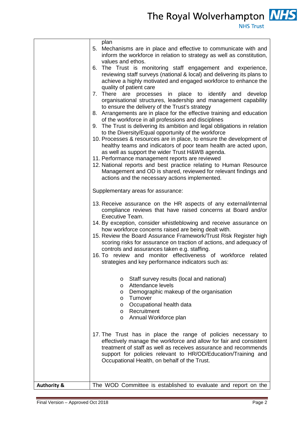The Royal Wolverhampton **NHS NHS Trust** 

|                        | plan<br>5. Mechanisms are in place and effective to communicate with and<br>inform the workforce in relation to strategy as well as constitution,<br>values and ethos.<br>6. The Trust is monitoring staff engagement and experience,<br>reviewing staff surveys (national & local) and delivering its plans to<br>achieve a highly motivated and engaged workforce to enhance the<br>quality of patient care<br>7. There are processes in place to identify and<br>develop<br>organisational structures, leadership and management capability<br>to ensure the delivery of the Trust's strategy<br>8. Arrangements are in place for the effective training and education<br>of the workforce in all professions and disciplines<br>9. The Trust is delivering its ambition and legal obligations in relation<br>to the Diversity/Equal opportunity of the workforce<br>10. Processes & resources are in place, to ensure the development of<br>healthy teams and indicators of poor team health are acted upon,<br>as well as support the wider Trust H&WB agenda.<br>11. Performance management reports are reviewed<br>12. National reports and best practice relating to Human Resource<br>Management and OD is shared, reviewed for relevant findings and<br>actions and the necessary actions implemented.<br>Supplementary areas for assurance:<br>13. Receive assurance on the HR aspects of any external/internal<br>compliance reviews that have raised concerns at Board and/or<br>Executive Team.<br>14. By exception, consider whistleblowing and receive assurance on<br>how workforce concerns raised are being dealt with.<br>15. Review the Board Assurance Framework/Trust Risk Register high<br>scoring risks for assurance on traction of actions, and adequacy of<br>controls and assurances taken e.g. staffing.<br>16. To review and monitor effectiveness of workforce related<br>strategies and key performance indicators such as:<br>Staff survey results (local and national)<br>O<br>Attendance levels<br>O<br>Demographic makeup of the organisation<br>O<br>Turnover<br>$\circ$<br>Occupational health data<br>$\circ$<br>Recruitment<br>$\circ$<br>o Annual Workforce plan |
|------------------------|------------------------------------------------------------------------------------------------------------------------------------------------------------------------------------------------------------------------------------------------------------------------------------------------------------------------------------------------------------------------------------------------------------------------------------------------------------------------------------------------------------------------------------------------------------------------------------------------------------------------------------------------------------------------------------------------------------------------------------------------------------------------------------------------------------------------------------------------------------------------------------------------------------------------------------------------------------------------------------------------------------------------------------------------------------------------------------------------------------------------------------------------------------------------------------------------------------------------------------------------------------------------------------------------------------------------------------------------------------------------------------------------------------------------------------------------------------------------------------------------------------------------------------------------------------------------------------------------------------------------------------------------------------------------------------------------------------------------------------------------------------------------------------------------------------------------------------------------------------------------------------------------------------------------------------------------------------------------------------------------------------------------------------------------------------------------------------------------------------------------------------------------------------------------------------------------------------|
|                        |                                                                                                                                                                                                                                                                                                                                                                                                                                                                                                                                                                                                                                                                                                                                                                                                                                                                                                                                                                                                                                                                                                                                                                                                                                                                                                                                                                                                                                                                                                                                                                                                                                                                                                                                                                                                                                                                                                                                                                                                                                                                                                                                                                                                            |
|                        | 17. The Trust has in place the range of policies necessary to<br>effectively manage the workforce and allow for fair and consistent<br>treatment of staff as well as receives assurance and recommends<br>support for policies relevant to HR/OD/Education/Training and<br>Occupational Health, on behalf of the Trust.                                                                                                                                                                                                                                                                                                                                                                                                                                                                                                                                                                                                                                                                                                                                                                                                                                                                                                                                                                                                                                                                                                                                                                                                                                                                                                                                                                                                                                                                                                                                                                                                                                                                                                                                                                                                                                                                                    |
| <b>Authority &amp;</b> | The WOD Committee is established to evaluate and report on the                                                                                                                                                                                                                                                                                                                                                                                                                                                                                                                                                                                                                                                                                                                                                                                                                                                                                                                                                                                                                                                                                                                                                                                                                                                                                                                                                                                                                                                                                                                                                                                                                                                                                                                                                                                                                                                                                                                                                                                                                                                                                                                                             |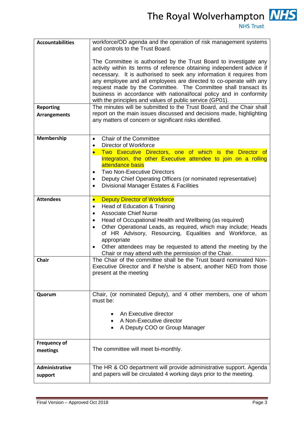The Royal Wolverhampton **NHS** 

**NHS Trust** 

| <b>Accountabilities</b>                 | workforce/OD agenda and the operation of risk management systems<br>and controls to the Trust Board.                                                                                                                                                                                                                                                                                                                                                                                                                                                                                                                                                                                                        |
|-----------------------------------------|-------------------------------------------------------------------------------------------------------------------------------------------------------------------------------------------------------------------------------------------------------------------------------------------------------------------------------------------------------------------------------------------------------------------------------------------------------------------------------------------------------------------------------------------------------------------------------------------------------------------------------------------------------------------------------------------------------------|
| <b>Reporting</b><br><b>Arrangements</b> | The Committee is authorised by the Trust Board to investigate any<br>activity within its terms of reference obtaining independent advice if<br>necessary. It is authorised to seek any information it requires from<br>any employee and all employees are directed to co-operate with any<br>request made by the Committee. The Committee shall transact its<br>business in accordance with national/local policy and in conformity<br>with the principles and values of public service (GP01).<br>The minutes will be submitted to the Trust Board, and the Chair shall<br>report on the main issues discussed and decisions made, highlighting<br>any matters of concern or significant risks identified. |
| Membership                              | Chair of the Committee<br>$\bullet$                                                                                                                                                                                                                                                                                                                                                                                                                                                                                                                                                                                                                                                                         |
|                                         | <b>Director of Workforce</b><br>Two Executive Directors, one of which is the Director of<br>Integration, the other Executive attendee to join on a rolling<br>attendance basis<br><b>Two Non-Executive Directors</b><br>Deputy Chief Operating Officers (or nominated representative)<br>Divisional Manager Estates & Facilities<br>$\bullet$                                                                                                                                                                                                                                                                                                                                                               |
| <b>Attendees</b>                        | <b>Deputy Director of Workforce</b><br>$\bullet$<br>Head of Education & Training<br>$\bullet$<br><b>Associate Chief Nurse</b><br>Head of Occupational Health and Wellbeing (as required)<br>Other Operational Leads, as required, which may include; Heads<br>of HR Advisory, Resourcing, Equalities and Workforce, as<br>appropriate<br>Other attendees may be requested to attend the meeting by the<br>Chair or may attend with the permission of the Chair.                                                                                                                                                                                                                                             |
| <b>Chair</b>                            | The Chair of the committee shall be the Trust board nominated Non-<br>Executive Director and if he/she is absent, another NED from those<br>present at the meeting                                                                                                                                                                                                                                                                                                                                                                                                                                                                                                                                          |
| Quorum                                  | Chair, (or nominated Deputy), and 4 other members, one of whom<br>must be:                                                                                                                                                                                                                                                                                                                                                                                                                                                                                                                                                                                                                                  |
|                                         | An Executive director<br>A Non-Executive director<br>A Deputy COO or Group Manager                                                                                                                                                                                                                                                                                                                                                                                                                                                                                                                                                                                                                          |
| <b>Frequency of</b><br>meetings         | The committee will meet bi-monthly.                                                                                                                                                                                                                                                                                                                                                                                                                                                                                                                                                                                                                                                                         |
| Administrative<br>support               | The HR & OD department will provide administrative support. Agenda<br>and papers will be circulated 4 working days prior to the meeting.                                                                                                                                                                                                                                                                                                                                                                                                                                                                                                                                                                    |